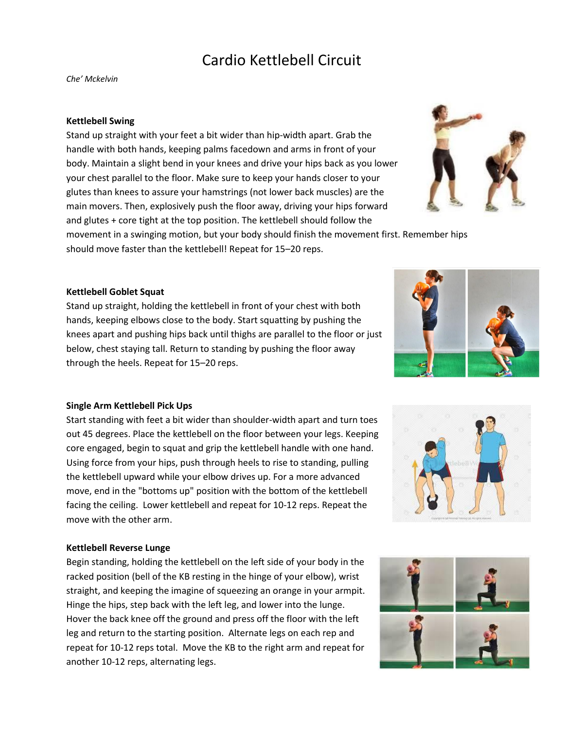# Cardio Kettlebell Circuit

*Che' Mckelvin*

## **Kettlebell Swing**

Stand up straight with your feet a bit wider than hip-width apart. Grab the handle with both hands, keeping palms facedown and arms in front of your body. Maintain a slight bend in your knees and drive your hips back as you lower your chest parallel to the floor. Make sure to keep your hands closer to your glutes than knees to assure your hamstrings (not lower back muscles) are the main movers. Then, explosively push the floor away, driving your hips forward and glutes + core tight at the top position. The kettlebell should follow the

movement in a swinging motion, but your body should finish the movement first. Remember hips should move faster than the kettlebell! Repeat for 15–20 reps.

## **Kettlebell Goblet Squat**

Stand up straight, holding the kettlebell in front of your chest with both hands, keeping elbows close to the body. Start squatting by pushing the knees apart and pushing hips back until thighs are parallel to the floor or just below, chest staying tall. Return to standing by pushing the floor away through the heels. Repeat for 15–20 reps.

#### **Single Arm Kettlebell Pick Ups**

Start standing with feet a bit wider than shoulder-width apart and turn toes out 45 degrees. Place the kettlebell on the floor between your legs. Keeping core engaged, begin to squat and grip the kettlebell handle with one hand. Using force from your hips, push through heels to rise to standing, pulling the kettlebell upward while your elbow drives up. For a more advanced move, end in the "bottoms up" position with the bottom of the kettlebell facing the ceiling. Lower kettlebell and repeat for 10-12 reps. Repeat the move with the other arm.

#### **Kettlebell Reverse Lunge**

Begin standing, holding the kettlebell on the left side of your body in the racked position (bell of the KB resting in the hinge of your elbow), wrist straight, and keeping the imagine of squeezing an orange in your armpit. Hinge the hips, step back with the left leg, and lower into the lunge. Hover the back knee off the ground and press off the floor with the left leg and return to the starting position. Alternate legs on each rep and repeat for 10-12 reps total. Move the KB to the right arm and repeat for another 10-12 reps, alternating legs.